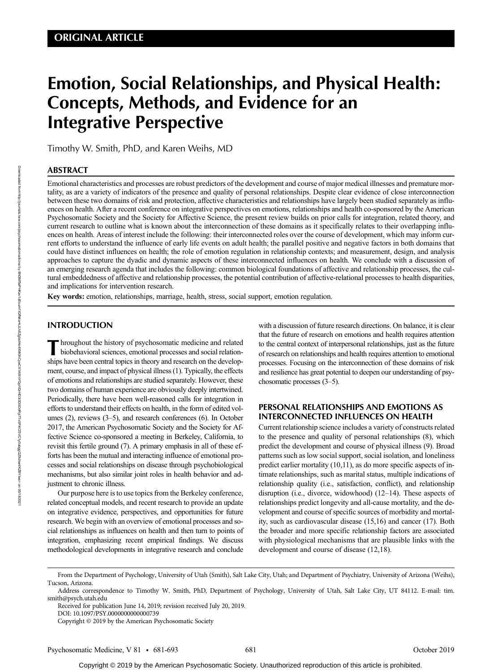# Emotion, Social Relationships, and Physical Health: Concepts, Methods, and Evidence for an Integrative Perspective

Timothy W. Smith, PhD, and Karen Weihs, MD

## ABSTRACT

Downloaded from

http://journals.lww.com/psychosomaticmedicine

হ

Emotional characteristics and processes are robust predictors of the development and course of major medical illnesses and premature mortality, as are a variety of indicators of the presence and quality of personal relationships. Despite clear evidence of close interconnection between these two domains of risk and protection, affective characteristics and relationships have largely been studied separately as influences on health. After a recent conference on integrative perspectives on emotions, relationships and health co-sponsored by the American Psychosomatic Society and the Society for Affective Science, the present review builds on prior calls for integration, related theory, and current research to outline what is known about the interconnection of these domains as it specifically relates to their overlapping influences on health. Areas of interest include the following: their interconnected roles over the course of development, which may inform current efforts to understand the influence of early life events on adult health; the parallel positive and negative factors in both domains that could have distinct influences on health; the role of emotion regulation in relationship contexts; and measurement, design, and analysis approaches to capture the dyadic and dynamic aspects of these interconnected influences on health. We conclude with a discussion of an emerging research agenda that includes the following: common biological foundations of affective and relationship processes, the cultural embeddedness of affective and relationship processes, the potential contribution of affective-relational processes to health disparities, and implications for intervention research.

Key words: emotion, relationships, marriage, health, stress, social support, emotion regulation.

## INTRODUCTION

Throughout the history of psychosomatic medicine and related<br>biobehavioral sciences, emotional processes and social relation-<br>high have been central torice in theory and measure and to day low ships have been central topics in theory and research on the development, course, and impact of physical illness (1). Typically, the effects of emotions and relationships are studied separately. However, these two domains of human experience are obviously deeply intertwined. Periodically, there have been well-reasoned calls for integration in efforts to understand their effects on health, in the form of edited volumes (2), reviews (3–5), and research conferences (6). In October 2017, the American Psychosomatic Society and the Society for Affective Science co-sponsored a meeting in Berkeley, California, to revisit this fertile ground (7). A primary emphasis in all of these efforts has been the mutual and interacting influence of emotional processes and social relationships on disease through psychobiological mechanisms, but also similar joint roles in health behavior and adjustment to chronic illness.

Our purpose here is to use topics from the Berkeley conference, related conceptual models, and recent research to provide an update on integrative evidence, perspectives, and opportunities for future research. We begin with an overview of emotional processes and social relationships as influences on health and then turn to points of integration, emphasizing recent empirical findings. We discuss methodological developments in integrative research and conclude with a discussion of future research directions. On balance, it is clear that the future of research on emotions and health requires attention to the central context of interpersonal relationships, just as the future of research on relationships and health requires attention to emotional processes. Focusing on the interconnection of these domains of risk and resilience has great potential to deepen our understanding of psychosomatic processes (3–5).

## PERSONAL RELATIONSHIPS AND EMOTIONS AS INTERCONNECTED INFLUENCES ON HEALTH

Current relationship science includes a variety of constructs related to the presence and quality of personal relationships (8), which predict the development and course of physical illness (9). Broad patterns such as low social support, social isolation, and loneliness predict earlier mortality (10,11), as do more specific aspects of intimate relationships, such as marital status, multiple indications of relationship quality (i.e., satisfaction, conflict), and relationship disruption (i.e., divorce, widowhood) (12–14). These aspects of relationships predict longevity and all-cause mortality, and the development and course of specific sources of morbidity and mortality, such as cardiovascular disease (15,16) and cancer (17). Both the broader and more specific relationship factors are associated with physiological mechanisms that are plausible links with the development and course of disease (12,18).

From the Department of Psychology, University of Utah (Smith), Salt Lake City, Utah; and Department of Psychiatry, University of Arizona (Weihs), Tucson, Arizona.

Address correspondence to Timothy W. Smith, PhD, Department of Psychology, University of Utah, Salt Lake City, UT 84112. E-mail: [tim.](mailto:) [smith@psych.utah.edu](mailto:)

Received for publication June 14, 2019; revision received July 20, 2019.

DOI: 10.1097/PSY.0000000000000739

Copyright © 2019 by the American Psychosomatic Society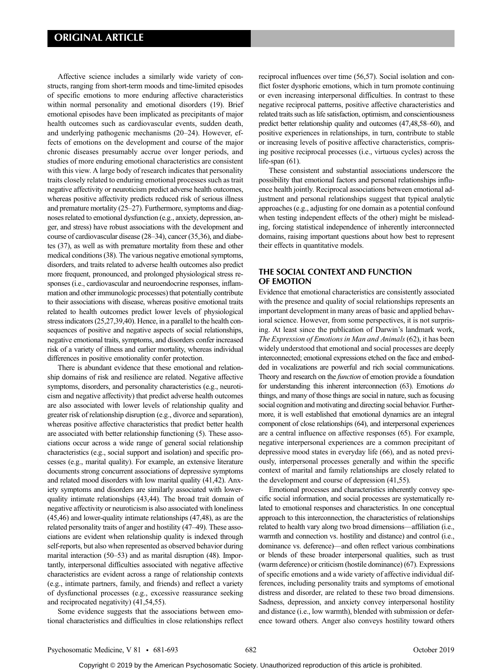## ORIGINAL ARTICLE

Affective science includes a similarly wide variety of constructs, ranging from short-term moods and time-limited episodes of specific emotions to more enduring affective characteristics within normal personality and emotional disorders (19). Brief emotional episodes have been implicated as precipitants of major health outcomes such as cardiovascular events, sudden death, and underlying pathogenic mechanisms (20–24). However, effects of emotions on the development and course of the major chronic diseases presumably accrue over longer periods, and studies of more enduring emotional characteristics are consistent with this view. A large body of research indicates that personality traits closely related to enduring emotional processes such as trait negative affectivity or neuroticism predict adverse health outcomes, whereas positive affectivity predicts reduced risk of serious illness and premature mortality (25–27). Furthermore, symptoms and diagnoses related to emotional dysfunction (e.g., anxiety, depression, anger, and stress) have robust associations with the development and course of cardiovascular disease (28–34), cancer (35,36), and diabetes (37), as well as with premature mortality from these and other medical conditions (38). The various negative emotional symptoms, disorders, and traits related to adverse health outcomes also predict more frequent, pronounced, and prolonged physiological stress responses (i.e., cardiovascular and neuroendocrine responses, inflammation and other immunologic processes) that potentially contribute to their associations with disease, whereas positive emotional traits related to health outcomes predict lower levels of physiological stress indicators (25,27,39,40). Hence, in a parallel to the health consequences of positive and negative aspects of social relationships, negative emotional traits, symptoms, and disorders confer increased risk of a variety of illness and earlier mortality, whereas individual differences in positive emotionality confer protection.

There is abundant evidence that these emotional and relationship domains of risk and resilience are related. Negative affective symptoms, disorders, and personality characteristics (e.g., neuroticism and negative affectivity) that predict adverse health outcomes are also associated with lower levels of relationship quality and greater risk of relationship disruption (e.g., divorce and separation), whereas positive affective characteristics that predict better health are associated with better relationship functioning (5). These associations occur across a wide range of general social relationship characteristics (e.g., social support and isolation) and specific processes (e.g., marital quality). For example, an extensive literature documents strong concurrent associations of depressive symptoms and related mood disorders with low marital quality (41,42). Anxiety symptoms and disorders are similarly associated with lowerquality intimate relationships (43,44). The broad trait domain of negative affectivity or neuroticism is also associated with loneliness (45,46) and lower-quality intimate relationships (47,48), as are the related personality traits of anger and hostility (47–49). These associations are evident when relationship quality is indexed through self-reports, but also when represented as observed behavior during marital interaction (50–53) and as marital disruption (48). Importantly, interpersonal difficulties associated with negative affective characteristics are evident across a range of relationship contexts (e.g., intimate partners, family, and friends) and reflect a variety of dysfunctional processes (e.g., excessive reassurance seeking and reciprocated negativity) (41,54,55).

Some evidence suggests that the associations between emotional characteristics and difficulties in close relationships reflect

reciprocal influences over time (56,57). Social isolation and conflict foster dysphoric emotions, which in turn promote continuing or even increasing interpersonal difficulties. In contrast to these negative reciprocal patterns, positive affective characteristics and related traits such as life satisfaction, optimism, and conscientiousness predict better relationship quality and outcomes (47,48,58–60), and positive experiences in relationships, in turn, contribute to stable or increasing levels of positive affective characteristics, comprising positive reciprocal processes (i.e., virtuous cycles) across the life-span (61).

These consistent and substantial associations underscore the possibility that emotional factors and personal relationships influence health jointly. Reciprocal associations between emotional adjustment and personal relationships suggest that typical analytic approaches (e.g., adjusting for one domain as a potential confound when testing independent effects of the other) might be misleading, forcing statistical independence of inherently interconnected domains, raising important questions about how best to represent their effects in quantitative models.

## THE SOCIAL CONTEXT AND FUNCTION OF EMOTION

Evidence that emotional characteristics are consistently associated with the presence and quality of social relationships represents an important development in many areas of basic and applied behavioral science. However, from some perspectives, it is not surprising. At least since the publication of Darwin's landmark work, The Expression of Emotions in Man and Animals (62), it has been widely understood that emotional and social processes are deeply interconnected; emotional expressions etched on the face and embedded in vocalizations are powerful and rich social communications. Theory and research on the function of emotion provide a foundation for understanding this inherent interconnection (63). Emotions do things, and many of those things are social in nature, such as focusing social cognition and motivating and directing social behavior. Furthermore, it is well established that emotional dynamics are an integral component of close relationships (64), and interpersonal experiences are a central influence on affective responses (65). For example, negative interpersonal experiences are a common precipitant of depressive mood states in everyday life (66), and as noted previously, interpersonal processes generally and within the specific context of marital and family relationships are closely related to the development and course of depression (41,55).

Emotional processes and characteristics inherently convey specific social information, and social processes are systematically related to emotional responses and characteristics. In one conceptual approach to this interconnection, the characteristics of relationships related to health vary along two broad dimensions—affiliation (i.e., warmth and connection vs. hostility and distance) and control (i.e., dominance vs. deference)—and often reflect various combinations or blends of these broader interpersonal qualities, such as trust (warm deference) or criticism (hostile dominance) (67). Expressions of specific emotions and a wide variety of affective individual differences, including personality traits and symptoms of emotional distress and disorder, are related to these two broad dimensions. Sadness, depression, and anxiety convey interpersonal hostility and distance (i.e., low warmth), blended with submission or deference toward others. Anger also conveys hostility toward others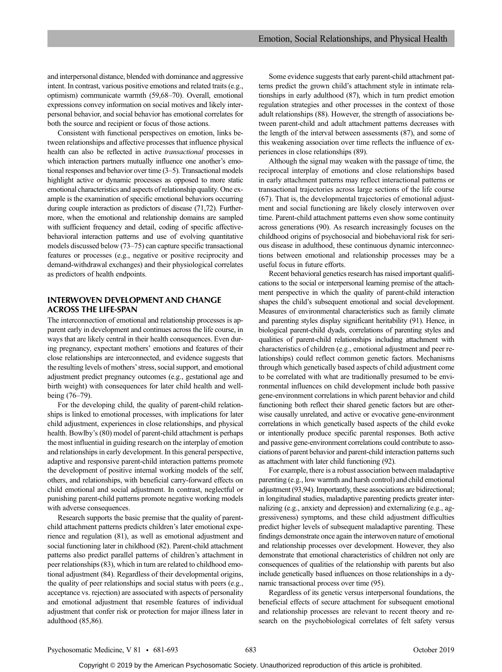and interpersonal distance, blended with dominance and aggressive intent. In contrast, various positive emotions and related traits (e.g., optimism) communicate warmth (59,68–70). Overall, emotional expressions convey information on social motives and likely interpersonal behavior, and social behavior has emotional correlates for both the source and recipient or focus of those actions.

Consistent with functional perspectives on emotion, links between relationships and affective processes that influence physical health can also be reflected in active transactional processes in which interaction partners mutually influence one another's emotional responses and behavior over time (3–5). Transactional models highlight active or dynamic processes as opposed to more static emotional characteristics and aspects of relationship quality. One example is the examination of specific emotional behaviors occurring during couple interaction as predictors of disease (71,72). Furthermore, when the emotional and relationship domains are sampled with sufficient frequency and detail, coding of specific affectivebehavioral interaction patterns and use of evolving quantitative models discussed below (73–75) can capture specific transactional features or processes (e.g., negative or positive reciprocity and demand-withdrawal exchanges) and their physiological correlates as predictors of health endpoints.

## INTERWOVEN DEVELOPMENT AND CHANGE ACROSS THE LIFE-SPAN

The interconnection of emotional and relationship processes is apparent early in development and continues across the life course, in ways that are likely central in their health consequences. Even during pregnancy, expectant mothers' emotions and features of their close relationships are interconnected, and evidence suggests that the resulting levels of mothers'stress, social support, and emotional adjustment predict pregnancy outcomes (e.g., gestational age and birth weight) with consequences for later child health and wellbeing (76–79).

For the developing child, the quality of parent-child relationships is linked to emotional processes, with implications for later child adjustment, experiences in close relationships, and physical health. Bowlby's (80) model of parent-child attachment is perhaps the most influential in guiding research on the interplay of emotion and relationships in early development. In this general perspective, adaptive and responsive parent-child interaction patterns promote the development of positive internal working models of the self, others, and relationships, with beneficial carry-forward effects on child emotional and social adjustment. In contrast, neglectful or punishing parent-child patterns promote negative working models with adverse consequences.

Research supports the basic premise that the quality of parentchild attachment patterns predicts children's later emotional experience and regulation (81), as well as emotional adjustment and social functioning later in childhood (82). Parent-child attachment patterns also predict parallel patterns of children's attachment in peer relationships (83), which in turn are related to childhood emotional adjustment (84). Regardless of their developmental origins, the quality of peer relationships and social status with peers (e.g., acceptance vs. rejection) are associated with aspects of personality and emotional adjustment that resemble features of individual adjustment that confer risk or protection for major illness later in adulthood (85,86).

Some evidence suggests that early parent-child attachment patterns predict the grown child's attachment style in intimate relationships in early adulthood (87), which in turn predict emotion regulation strategies and other processes in the context of those adult relationships (88). However, the strength of associations between parent-child and adult attachment patterns decreases with the length of the interval between assessments (87), and some of this weakening association over time reflects the influence of experiences in close relationships (89).

Although the signal may weaken with the passage of time, the reciprocal interplay of emotions and close relationships based in early attachment patterns may reflect interactional patterns or transactional trajectories across large sections of the life course (67). That is, the developmental trajectories of emotional adjustment and social functioning are likely closely interwoven over time. Parent-child attachment patterns even show some continuity across generations (90). As research increasingly focuses on the childhood origins of psychosocial and biobehavioral risk for serious disease in adulthood, these continuous dynamic interconnections between emotional and relationship processes may be a useful focus in future efforts.

Recent behavioral genetics research has raised important qualifications to the social or interpersonal learning premise of the attachment perspective in which the quality of parent-child interaction shapes the child's subsequent emotional and social development. Measures of environmental characteristics such as family climate and parenting styles display significant heritability (91). Hence, in biological parent-child dyads, correlations of parenting styles and qualities of parent-child relationships including attachment with characteristics of children (e.g., emotional adjustment and peer relationships) could reflect common genetic factors. Mechanisms through which genetically based aspects of child adjustment come to be correlated with what are traditionally presumed to be environmental influences on child development include both passive gene-environment correlations in which parent behavior and child functioning both reflect their shared genetic factors but are otherwise causally unrelated, and active or evocative gene-environment correlations in which genetically based aspects of the child evoke or intentionally produce specific parental responses. Both active and passive gene-environment correlations could contribute to associations of parent behavior and parent-child interaction patterns such as attachment with later child functioning (92).

For example, there is a robust association between maladaptive parenting (e.g., low warmth and harsh control) and child emotional adjustment (93,94). Importantly, these associations are bidirectional; in longitudinal studies, maladaptive parenting predicts greater internalizing (e.g., anxiety and depression) and externalizing (e.g., aggressiveness) symptoms, and these child adjustment difficulties predict higher levels of subsequent maladaptive parenting. These findings demonstrate once again the interwoven nature of emotional and relationship processes over development. However, they also demonstrate that emotional characteristics of children not only are consequences of qualities of the relationship with parents but also include genetically based influences on those relationships in a dynamic transactional process over time (95).

Regardless of its genetic versus interpersonal foundations, the beneficial effects of secure attachment for subsequent emotional and relationship processes are relevant to recent theory and research on the psychobiological correlates of felt safety versus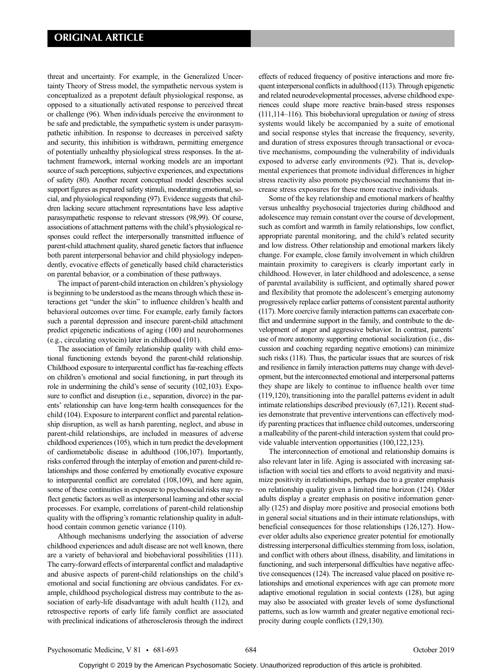threat and uncertainty. For example, in the Generalized Uncertainty Theory of Stress model, the sympathetic nervous system is conceptualized as a prepotent default physiological response, as opposed to a situationally activated response to perceived threat or challenge (96). When individuals perceive the environment to be safe and predictable, the sympathetic system is under parasympathetic inhibition. In response to decreases in perceived safety and security, this inhibition is withdrawn, permitting emergence of potentially unhealthy physiological stress responses. In the attachment framework, internal working models are an important source of such perceptions, subjective experiences, and expectations of safety (80). Another recent conceptual model describes social support figures as prepared safety stimuli, moderating emotional, social, and physiological responding (97). Evidence suggests that children lacking secure attachment representations have less adaptive parasympathetic response to relevant stressors (98,99). Of course, associations of attachment patterns with the child's physiological responses could reflect the interpersonally transmitted influence of parent-child attachment quality, shared genetic factors that influence both parent interpersonal behavior and child physiology independently, evocative effects of genetically based child characteristics on parental behavior, or a combination of these pathways.

The impact of parent-child interaction on children's physiology is beginning to be understood as the means through which these interactions get "under the skin" to influence children's health and behavioral outcomes over time. For example, early family factors such a parental depression and insecure parent-child attachment predict epigenetic indications of aging (100) and neurohormones (e.g., circulating oxytocin) later in childhood (101).

The association of family relationship quality with child emotional functioning extends beyond the parent-child relationship. Childhood exposure to interparental conflict has far-reaching effects on children's emotional and social functioning, in part through its role in undermining the child's sense of security (102,103). Exposure to conflict and disruption (i.e., separation, divorce) in the parents' relationship can have long-term health consequences for the child (104). Exposure to interparent conflict and parental relationship disruption, as well as harsh parenting, neglect, and abuse in parent-child relationships, are included in measures of adverse childhood experiences (105), which in turn predict the development of cardiometabolic disease in adulthood (106,107). Importantly, risks conferred through the interplay of emotion and parent-child relationships and those conferred by emotionally evocative exposure to interparental conflict are correlated (108,109), and here again, some of these continuities in exposure to psychosocial risks may reflect genetic factors as well as interpersonal learning and other social processes. For example, correlations of parent-child relationship quality with the offspring's romantic relationship quality in adulthood contain common genetic variance (110).

Although mechanisms underlying the association of adverse childhood experiences and adult disease are not well known, there are a variety of behavioral and biobehavioral possibilities (111). The carry-forward effects of interparental conflict and maladaptive and abusive aspects of parent-child relationships on the child's emotional and social functioning are obvious candidates. For example, childhood psychological distress may contribute to the association of early-life disadvantage with adult health (112), and retrospective reports of early life family conflict are associated with preclinical indications of atherosclerosis through the indirect

effects of reduced frequency of positive interactions and more frequent interpersonal conflicts in adulthood (113). Through epigenetic and related neurodevelopmental processes, adverse childhood experiences could shape more reactive brain-based stress responses (111,114–116). This biobehavioral upregulation or tuning of stress systems would likely be accompanied by a suite of emotional and social response styles that increase the frequency, severity, and duration of stress exposures through transactional or evocative mechanisms, compounding the vulnerability of individuals exposed to adverse early environments (92). That is, developmental experiences that promote individual differences in higher stress reactivity also promote psychosocial mechanisms that increase stress exposures for these more reactive individuals.

Some of the key relationship and emotional markers of healthy versus unhealthy psychosocial trajectories during childhood and adolescence may remain constant over the course of development, such as comfort and warmth in family relationships, low conflict, appropriate parental monitoring, and the child's related security and low distress. Other relationship and emotional markers likely change. For example, close family involvement in which children maintain proximity to caregivers is clearly important early in childhood. However, in later childhood and adolescence, a sense of parental availability is sufficient, and optimally shared power and flexibility that promote the adolescent's emerging autonomy progressively replace earlier patterns of consistent parental authority (117). More coercive family interaction patterns can exacerbate conflict and undermine support in the family, and contribute to the development of anger and aggressive behavior. In contrast, parents' use of more autonomy supporting emotional socialization (i.e., discussion and coaching regarding negative emotions) can minimize such risks (118). Thus, the particular issues that are sources of risk and resilience in family interaction patterns may change with development, but the interconnected emotional and interpersonal patterns they shape are likely to continue to influence health over time (119,120), transitioning into the parallel patterns evident in adult intimate relationships described previously (67,121). Recent studies demonstrate that preventive interventions can effectively modify parenting practices that influence child outcomes, underscoring a malleability of the parent-child interaction system that could provide valuable intervention opportunities (100,122,123).

The interconnection of emotional and relationship domains is also relevant later in life. Aging is associated with increasing satisfaction with social ties and efforts to avoid negativity and maximize positivity in relationships, perhaps due to a greater emphasis on relationship quality given a limited time horizon (124). Older adults display a greater emphasis on positive information generally (125) and display more positive and prosocial emotions both in general social situations and in their intimate relationships, with beneficial consequences for those relationships (126,127). However older adults also experience greater potential for emotionally distressing interpersonal difficulties stemming from loss, isolation, and conflict with others about illness, disability, and limitations in functioning, and such interpersonal difficulties have negative affective consequences (124). The increased value placed on positive relationships and emotional experiences with age can promote more adaptive emotional regulation in social contexts (128), but aging may also be associated with greater levels of some dysfunctional patterns, such as low warmth and greater negative emotional reciprocity during couple conflicts (129,130).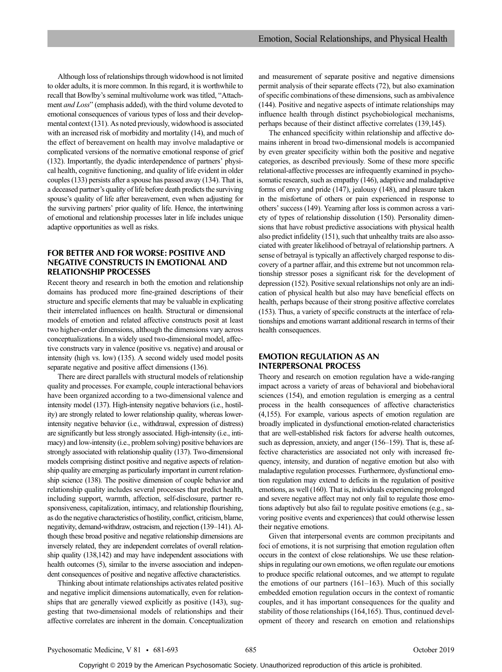Although loss of relationships through widowhood is not limited to older adults, it is more common. In this regard, it is worthwhile to recall that Bowlby's seminal multivolume work was titled, "Attachment *and Loss*" (emphasis added), with the third volume devoted to emotional consequences of various types of loss and their developmental context (131). As noted previously, widowhood is associated with an increased risk of morbidity and mortality (14), and much of the effect of bereavement on health may involve maladaptive or complicated versions of the normative emotional response of grief (132). Importantly, the dyadic interdependence of partners' physical health, cognitive functioning, and quality of life evident in older couples (133) persists after a spouse has passed away (134). That is, a deceased partner's quality of life before death predicts the surviving spouse's quality of life after bereavement, even when adjusting for the surviving partners' prior quality of life. Hence, the intertwining of emotional and relationship processes later in life includes unique adaptive opportunities as well as risks.

#### FOR BETTER AND FOR WORSE: POSITIVE AND NEGATIVE CONSTRUCTS IN EMOTIONAL AND RELATIONSHIP PROCESSES

Recent theory and research in both the emotion and relationship domains has produced more fine-grained descriptions of their structure and specific elements that may be valuable in explicating their interrelated influences on health. Structural or dimensional models of emotion and related affective constructs posit at least two higher-order dimensions, although the dimensions vary across conceptualizations. In a widely used two-dimensional model, affective constructs vary in valence (positive vs. negative) and arousal or intensity (high vs. low) (135). A second widely used model posits separate negative and positive affect dimensions (136).

There are direct parallels with structural models of relationship quality and processes. For example, couple interactional behaviors have been organized according to a two-dimensional valence and intensity model (137). High-intensity negative behaviors (i.e., hostility) are strongly related to lower relationship quality, whereas lowerintensity negative behavior (i.e., withdrawal, expression of distress) are significantly but less strongly associated. High-intensity (i.e., intimacy) and low-intensity (i.e., problem solving) positive behaviors are strongly associated with relationship quality (137). Two-dimensional models comprising distinct positive and negative aspects of relationship quality are emerging as particularly important in current relationship science (138). The positive dimension of couple behavior and relationship quality includes several processes that predict health, including support, warmth, affection, self-disclosure, partner responsiveness, capitalization, intimacy, and relationship flourishing, as do the negative characteristics of hostility, conflict, criticism, blame, negativity, demand-withdraw, ostracism, and rejection (139–141). Although these broad positive and negative relationship dimensions are inversely related, they are independent correlates of overall relationship quality (138,142) and may have independent associations with health outcomes (5), similar to the inverse association and independent consequences of positive and negative affective characteristics.

Thinking about intimate relationships activates related positive and negative implicit dimensions automatically, even for relationships that are generally viewed explicitly as positive (143), suggesting that two-dimensional models of relationships and their affective correlates are inherent in the domain. Conceptualization

and measurement of separate positive and negative dimensions permit analysis of their separate effects (72), but also examination of specific combinations of these dimensions, such as ambivalence (144). Positive and negative aspects of intimate relationships may influence health through distinct psychobiological mechanisms, perhaps because of their distinct affective correlates (139,145).

The enhanced specificity within relationship and affective domains inherent in broad two-dimensional models is accompanied by even greater specificity within both the positive and negative categories, as described previously. Some of these more specific relational-affective processes are infrequently examined in psychosomatic research, such as empathy (146), adaptive and maladaptive forms of envy and pride (147), jealousy (148), and pleasure taken in the misfortune of others or pain experienced in response to others'success (149). Yearning after loss is common across a variety of types of relationship dissolution (150). Personality dimensions that have robust predictive associations with physical health also predict infidelity (151), such that unhealthy traits are also associated with greater likelihood of betrayal of relationship partners. A sense of betrayal is typically an affectively charged response to discovery of a partner affair, and this extreme but not uncommon relationship stressor poses a significant risk for the development of depression (152). Positive sexual relationships not only are an indication of physical health but also may have beneficial effects on health, perhaps because of their strong positive affective correlates (153). Thus, a variety of specific constructs at the interface of relationships and emotions warrant additional research in terms of their health consequences.

## EMOTION REGULATION AS AN INTERPERSONAL PROCESS

Theory and research on emotion regulation have a wide-ranging impact across a variety of areas of behavioral and biobehavioral sciences (154), and emotion regulation is emerging as a central process in the health consequences of affective characteristics (4,155). For example, various aspects of emotion regulation are broadly implicated in dysfunctional emotion-related characteristics that are well-established risk factors for adverse health outcomes, such as depression, anxiety, and anger (156–159). That is, these affective characteristics are associated not only with increased frequency, intensity, and duration of negative emotion but also with maladaptive regulation processes. Furthermore, dysfunctional emotion regulation may extend to deficits in the regulation of positive emotions, as well (160). That is, individuals experiencing prolonged and severe negative affect may not only fail to regulate those emotions adaptively but also fail to regulate positive emotions (e.g., savoring positive events and experiences) that could otherwise lessen their negative emotions.

Given that interpersonal events are common precipitants and foci of emotions, it is not surprising that emotion regulation often occurs in the context of close relationships. We use these relationships in regulating our own emotions, we often regulate our emotions to produce specific relational outcomes, and we attempt to regulate the emotions of our partners  $(161–163)$ . Much of this socially embedded emotion regulation occurs in the context of romantic couples, and it has important consequences for the quality and stability of those relationships (164,165). Thus, continued development of theory and research on emotion and relationships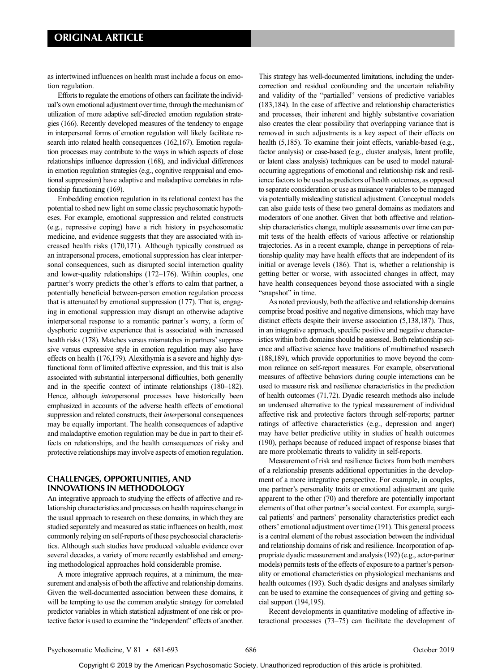as intertwined influences on health must include a focus on emotion regulation.

Efforts to regulate the emotions of others can facilitate the individual's own emotional adjustment over time, through the mechanism of utilization of more adaptive self-directed emotion regulation strategies (166). Recently developed measures of the tendency to engage in interpersonal forms of emotion regulation will likely facilitate research into related health consequences (162,167). Emotion regulation processes may contribute to the ways in which aspects of close relationships influence depression (168), and individual differences in emotion regulation strategies (e.g., cognitive reappraisal and emotional suppression) have adaptive and maladaptive correlates in relationship functioning (169).

Embedding emotion regulation in its relational context has the potential to shed new light on some classic psychosomatic hypotheses. For example, emotional suppression and related constructs (e.g., repressive coping) have a rich history in psychosomatic medicine, and evidence suggests that they are associated with increased health risks (170,171). Although typically construed as an intrapersonal process, emotional suppression has clear interpersonal consequences, such as disrupted social interaction quality and lower-quality relationships (172–176). Within couples, one partner's worry predicts the other's efforts to calm that partner, a potentially beneficial between-person emotion regulation process that is attenuated by emotional suppression (177). That is, engaging in emotional suppression may disrupt an otherwise adaptive interpersonal response to a romantic partner's worry, a form of dysphoric cognitive experience that is associated with increased health risks (178). Matches versus mismatches in partners' suppressive versus expressive style in emotion regulation may also have effects on health (176,179). Alexithymia is a severe and highly dysfunctional form of limited affective expression, and this trait is also associated with substantial interpersonal difficulties, both generally and in the specific context of intimate relationships (180–182). Hence, although *intra*personal processes have historically been emphasized in accounts of the adverse health effects of emotional suppression and related constructs, their *interpersonal* consequences may be equally important. The health consequences of adaptive and maladaptive emotion regulation may be due in part to their effects on relationships, and the health consequences of risky and protective relationships may involve aspects of emotion regulation.

## CHALLENGES, OPPORTUNITIES, AND INNOVATIONS IN METHODOLOGY

An integrative approach to studying the effects of affective and relationship characteristics and processes on health requires change in the usual approach to research on these domains, in which they are studied separately and measured as static influences on health, most commonly relying on self-reports of these psychosocial characteristics. Although such studies have produced valuable evidence over several decades, a variety of more recently established and emerging methodological approaches hold considerable promise.

A more integrative approach requires, at a minimum, the measurement and analysis of both the affective and relationship domains. Given the well-documented association between these domains, it will be tempting to use the common analytic strategy for correlated predictor variables in which statistical adjustment of one risk or protective factor is used to examine the "independent" effects of another.

This strategy has well-documented limitations, including the undercorrection and residual confounding and the uncertain reliability and validity of the "partialled" versions of predictive variables (183,184). In the case of affective and relationship characteristics and processes, their inherent and highly substantive covariation also creates the clear possibility that overlapping variance that is removed in such adjustments is a key aspect of their effects on health (5,185). To examine their joint effects, variable-based (e.g., factor analysis) or case-based (e.g., cluster analysis, latent profile, or latent class analysis) techniques can be used to model naturaloccurring aggregations of emotional and relationship risk and resilience factors to be used as predictors of health outcomes, as opposed to separate consideration or use as nuisance variables to be managed via potentially misleading statistical adjustment. Conceptual models can also guide tests of these two general domains as mediators and moderators of one another. Given that both affective and relationship characteristics change, multiple assessments over time can permit tests of the health effects of various affective or relationship trajectories. As in a recent example, change in perceptions of relationship quality may have health effects that are independent of its initial or average levels (186). That is, whether a relationship is getting better or worse, with associated changes in affect, may have health consequences beyond those associated with a single "snapshot" in time.

As noted previously, both the affective and relationship domains comprise broad positive and negative dimensions, which may have distinct effects despite their inverse association (5,138,187). Thus, in an integrative approach, specific positive and negative characteristics within both domains should be assessed. Both relationship science and affective science have traditions of multimethod research (188,189), which provide opportunities to move beyond the common reliance on self-report measures. For example, observational measures of affective behaviors during couple interactions can be used to measure risk and resilience characteristics in the prediction of health outcomes (71,72). Dyadic research methods also include an underused alternative to the typical measurement of individual affective risk and protective factors through self-reports; partner ratings of affective characteristics (e.g., depression and anger) may have better predictive utility in studies of health outcomes (190), perhaps because of reduced impact of response biases that are more problematic threats to validity in self-reports.

Measurement of risk and resilience factors from both members of a relationship presents additional opportunities in the development of a more integrative perspective. For example, in couples, one partner's personality traits or emotional adjustment are quite apparent to the other (70) and therefore are potentially important elements of that other partner's social context. For example, surgical patients' and partners' personality characteristics predict each others' emotional adjustment over time (191). This general process is a central element of the robust association between the individual and relationship domains of risk and resilience. Incorporation of appropriate dyadic measurement and analysis (192) (e.g., actor-partner models) permits tests of the effects of exposure to a partner's personality or emotional characteristics on physiological mechanisms and health outcomes (193). Such dyadic designs and analyses similarly can be used to examine the consequences of giving and getting social support (194,195).

Recent developments in quantitative modeling of affective interactional processes (73–75) can facilitate the development of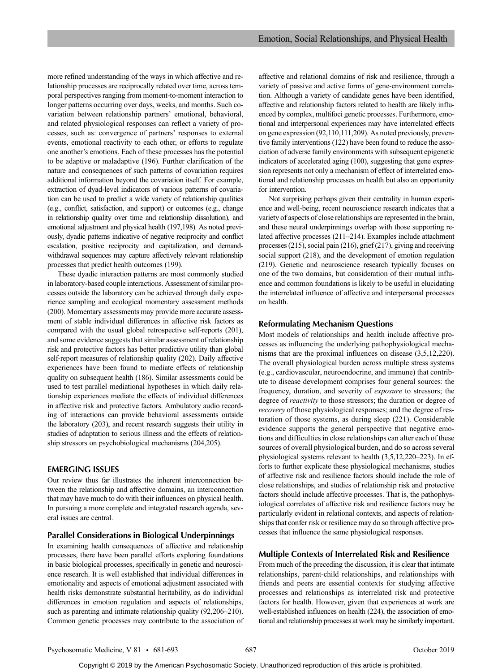more refined understanding of the ways in which affective and relationship processes are reciprocally related over time, across temporal perspectives ranging from moment-to-moment interaction to longer patterns occurring over days, weeks, and months. Such covariation between relationship partners' emotional, behavioral, and related physiological responses can reflect a variety of processes, such as: convergence of partners' responses to external events, emotional reactivity to each other, or efforts to regulate one another's emotions. Each of these processes has the potential to be adaptive or maladaptive (196). Further clarification of the nature and consequences of such patterns of covariation requires additional information beyond the covariation itself. For example, extraction of dyad-level indicators of various patterns of covariation can be used to predict a wide variety of relationship qualities (e.g., conflict, satisfaction, and support) or outcomes (e.g., change in relationship quality over time and relationship dissolution), and emotional adjustment and physical health (197,198). As noted previously, dyadic patterns indicative of negative reciprocity and conflict escalation, positive reciprocity and capitalization, and demandwithdrawal sequences may capture affectively relevant relationship processes that predict health outcomes (199).

These dyadic interaction patterns are most commonly studied in laboratory-based couple interactions. Assessment of similar processes outside the laboratory can be achieved through daily experience sampling and ecological momentary assessment methods (200). Momentary assessments may provide more accurate assessment of stable individual differences in affective risk factors as compared with the usual global retrospective self-reports (201), and some evidence suggests that similar assessment of relationship risk and protective factors has better predictive utility than global self-report measures of relationship quality (202). Daily affective experiences have been found to mediate effects of relationship quality on subsequent health (186). Similar assessments could be used to test parallel mediational hypotheses in which daily relationship experiences mediate the effects of individual differences in affective risk and protective factors. Ambulatory audio recording of interactions can provide behavioral assessments outside the laboratory (203), and recent research suggests their utility in studies of adaptation to serious illness and the effects of relationship stressors on psychobiological mechanisms (204,205).

#### EMERGING ISSUES

Our review thus far illustrates the inherent interconnection between the relationship and affective domains, an interconnection that may have much to do with their influences on physical health. In pursuing a more complete and integrated research agenda, several issues are central.

#### Parallel Considerations in Biological Underpinnings

In examining health consequences of affective and relationship processes, there have been parallel efforts exploring foundations in basic biological processes, specifically in genetic and neuroscience research. It is well established that individual differences in emotionality and aspects of emotional adjustment associated with health risks demonstrate substantial heritability, as do individual differences in emotion regulation and aspects of relationships, such as parenting and intimate relationship quality (92,206–210). Common genetic processes may contribute to the association of affective and relational domains of risk and resilience, through a variety of passive and active forms of gene-environment correlation. Although a variety of candidate genes have been identified, affective and relationship factors related to health are likely influenced by complex, multifoci genetic processes. Furthermore, emotional and interpersonal experiences may have interrelated effects on gene expression (92,110,111,209). As noted previously, preventive family interventions (122) have been found to reduce the association of adverse family environments with subsequent epigenetic indicators of accelerated aging (100), suggesting that gene expression represents not only a mechanism of effect of interrelated emotional and relationship processes on health but also an opportunity for intervention.

Not surprising perhaps given their centrality in human experience and well-being, recent neuroscience research indicates that a variety of aspects of close relationships are represented in the brain, and these neural underpinnings overlap with those supporting related affective processes (211–214). Examples include attachment processes (215), social pain (216), grief (217), giving and receiving social support (218), and the development of emotion regulation (219). Genetic and neuroscience research typically focuses on one of the two domains, but consideration of their mutual influence and common foundations is likely to be useful in elucidating the interrelated influence of affective and interpersonal processes on health.

#### Reformulating Mechanism Questions

Most models of relationships and health include affective processes as influencing the underlying pathophysiological mechanisms that are the proximal influences on disease (3,5,12,220). The overall physiological burden across multiple stress systems (e.g., cardiovascular, neuroendocrine, and immune) that contribute to disease development comprises four general sources: the frequency, duration, and severity of exposure to stressors; the degree of *reactivity* to those stressors; the duration or degree of recovery of those physiological responses; and the degree of restoration of those systems, as during sleep (221). Considerable evidence supports the general perspective that negative emotions and difficulties in close relationships can alter each of these sources of overall physiological burden, and do so across several physiological systems relevant to health (3,5,12,220–223). In efforts to further explicate these physiological mechanisms, studies of affective risk and resilience factors should include the role of close relationships, and studies of relationship risk and protective factors should include affective processes. That is, the pathophysiological correlates of affective risk and resilience factors may be particularly evident in relational contexts, and aspects of relationships that confer risk or resilience may do so through affective processes that influence the same physiological responses.

#### Multiple Contexts of Interrelated Risk and Resilience

From much of the preceding the discussion, it is clear that intimate relationships, parent-child relationships, and relationships with friends and peers are essential contexts for studying affective processes and relationships as interrelated risk and protective factors for health. However, given that experiences at work are well-established influences on health (224), the association of emotional and relationship processes at work may be similarly important.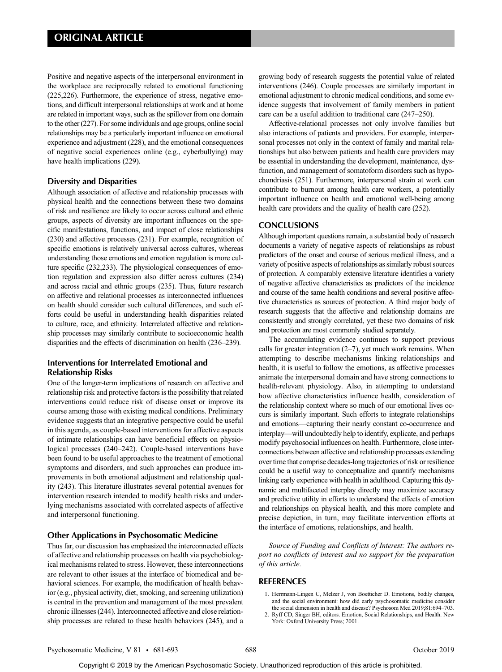Positive and negative aspects of the interpersonal environment in the workplace are reciprocally related to emotional functioning (225,226). Furthermore, the experience of stress, negative emotions, and difficult interpersonal relationships at work and at home are related in important ways, such as the spillover from one domain to the other (227). For some individuals and age groups, online social relationships may be a particularly important influence on emotional experience and adjustment (228), and the emotional consequences of negative social experiences online (e.g., cyberbullying) may have health implications (229).

#### Diversity and Disparities

Although association of affective and relationship processes with physical health and the connections between these two domains of risk and resilience are likely to occur across cultural and ethnic groups, aspects of diversity are important influences on the specific manifestations, functions, and impact of close relationships (230) and affective processes (231). For example, recognition of specific emotions is relatively universal across cultures, whereas understanding those emotions and emotion regulation is more culture specific (232,233). The physiological consequences of emotion regulation and expression also differ across cultures (234) and across racial and ethnic groups (235). Thus, future research on affective and relational processes as interconnected influences on health should consider such cultural differences, and such efforts could be useful in understanding health disparities related to culture, race, and ethnicity. Interrelated affective and relationship processes may similarly contribute to socioeconomic health disparities and the effects of discrimination on health (236–239).

## Interventions for Interrelated Emotional and Relationship Risks

One of the longer-term implications of research on affective and relationship risk and protective factors is the possibility that related interventions could reduce risk of disease onset or improve its course among those with existing medical conditions. Preliminary evidence suggests that an integrative perspective could be useful in this agenda, as couple-based interventions for affective aspects of intimate relationships can have beneficial effects on physiological processes (240–242). Couple-based interventions have been found to be useful approaches to the treatment of emotional symptoms and disorders, and such approaches can produce improvements in both emotional adjustment and relationship quality (243). This literature illustrates several potential avenues for intervention research intended to modify health risks and underlying mechanisms associated with correlated aspects of affective and interpersonal functioning.

#### Other Applications in Psychosomatic Medicine

Thus far, our discussion has emphasized the interconnected effects of affective and relationship processes on health via psychobiological mechanisms related to stress. However, these interconnections are relevant to other issues at the interface of biomedical and behavioral sciences. For example, the modification of health behavior (e.g., physical activity, diet, smoking, and screening utilization) is central in the prevention and management of the most prevalent chronic illnesses (244). Interconnected affective and close relationship processes are related to these health behaviors (245), and a growing body of research suggests the potential value of related interventions (246). Couple processes are similarly important in emotional adjustment to chronic medical conditions, and some evidence suggests that involvement of family members in patient care can be a useful addition to traditional care (247–250).

Affective-relational processes not only involve families but also interactions of patients and providers. For example, interpersonal processes not only in the context of family and marital relationships but also between patients and health care providers may be essential in understanding the development, maintenance, dysfunction, and management of somatoform disorders such as hypochondriasis (251). Furthermore, interpersonal strain at work can contribute to burnout among health care workers, a potentially important influence on health and emotional well-being among health care providers and the quality of health care (252).

## **CONCLUSIONS**

Although important questions remain, a substantial body of research documents a variety of negative aspects of relationships as robust predictors of the onset and course of serious medical illness, and a variety of positive aspects of relationships as similarly robust sources of protection. A comparably extensive literature identifies a variety of negative affective characteristics as predictors of the incidence and course of the same health conditions and several positive affective characteristics as sources of protection. A third major body of research suggests that the affective and relationship domains are consistently and strongly correlated, yet these two domains of risk and protection are most commonly studied separately.

The accumulating evidence continues to support previous calls for greater integration (2–7), yet much work remains. When attempting to describe mechanisms linking relationships and health, it is useful to follow the emotions, as affective processes animate the interpersonal domain and have strong connections to health-relevant physiology. Also, in attempting to understand how affective characteristics influence health, consideration of the relationship context where so much of our emotional lives occurs is similarly important. Such efforts to integrate relationships and emotions—capturing their nearly constant co-occurrence and interplay—will undoubtedly help to identify, explicate, and perhaps modify psychosocial influences on health. Furthermore, close interconnections between affective and relationship processes extending over time that comprise decades-long trajectories of risk or resilience could be a useful way to conceptualize and quantify mechanisms linking early experience with health in adulthood. Capturing this dynamic and multifaceted interplay directly may maximize accuracy and predictive utility in efforts to understand the effects of emotion and relationships on physical health, and this more complete and precise depiction, in turn, may facilitate intervention efforts at the interface of emotions, relationships, and health.

Source of Funding and Conflicts of Interest: The authors report no conflicts of interest and no support for the preparation of this article.

#### REFERENCES

- 1. Herrmann-Lingen C, Melzer J, von Boetticher D. Emotions, bodily changes, and the social environment: how did early psychosomatic medicine consider the social dimension in health and disease? Psychosom Med 2019;81:694–703.
- 2. Ryff CD, Singer BH, editors. Emotion, Social Relationships, and Health. New York: Oxford University Press; 2001.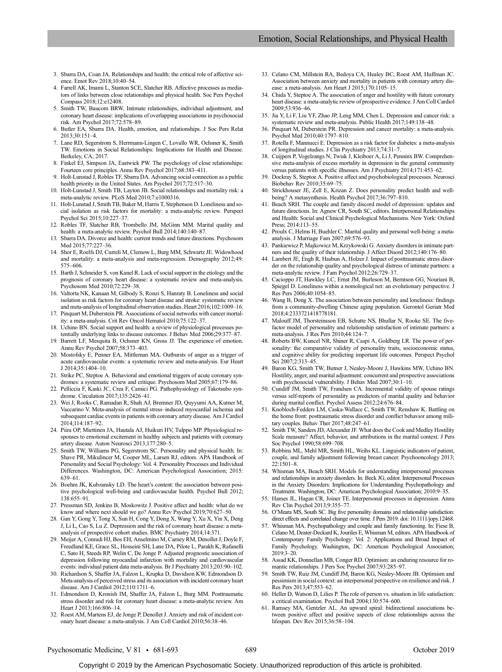- 3. Sbarra DA, Coan JA. Relationships and health: the critical role of affective science. Emot Rev 2018;10:40–54.
- 4. Farrell AK, Imami L, Stanton SCE, Slatcher RB. Affective processes as mediators of links between close relationships and physical health. Soc Pers Psychol Compass 2018;12:e12408.
- 5. Smith TW, Baucom BRW. Intimate relationships, individual adjustment, and coronary heart disease: implications of overlapping associations in psychosocial risk. Am Psychol 2017;72:578–89.
- 6. Butler EA, Sbarra DA. Health, emotion, and relationships. J Soc Pers Relat 2013;30:151–4.
- Lane RD, Segerstrom S, Herrmann-Lingen C, Lovallo WR, Ochsner K, Smith TW. Emotions in Social Relationships: Implications for Health and Disease. Berkeley, CA; 2017.
- 8. Finkel EJ, Simpson JA, Eastwick PW. The psychology of close relationships: Fourteen core principles. Annu Rev Psychol 2017;68:383–411.
- 9. Holt-Lunstad J, Robles TF, Sbarra DA. Advancing social connection as a public health priority in the United States. Am Psychol 2017;72:517–30.
- 10. Holt-Lunstad J, Smith TB, Layton JB. Social relationships and mortality risk: a meta-analytic review. PLoS Med 2010;7:e1000316.
- 11. Holt-Lunstad J, Smith TB, Baker M, Harris T, Stephenson D. Loneliness and social isolation as risk factors for mortality: a meta-analytic review. Perspect Psychol Sci 2015;10:227–37.
- 12. Robles TF, Slatcher RB, Trombello JM, McGinn MM. Marital quality and health: a meta-analytic review. Psychol Bull 2014;140:140–87.
- 13. Sbarra DA. Divorce and health: current trends and future directions. Psychosom Med 2015;77:227–36.
- 14. Shor E, Roelfs DJ, Curreli M, Clemow L, Burg MM, Schwartz JE. Widowhood and mortality: a meta-analysis and meta-regression. Demography 2012;49: 575–606.
- 15. Barth J, Schneider S, von Kanel R. Lack of social support in the etiology and the prognosis of coronary heart disease: a systematic review and meta-analysis. Psychosom Med 2010;72:229–38.
- 16. Valtorta NK, Kanaan M, Gilbody S, Ronzi S, Hanraty B. Loneliness and social isolation as risk factors for coronary heart disease and stroke: systematic review and meta-analysis of longitudinal observation studies. Heart 2016;102:1009–16.
- 17. Pinquart M, Duberstein PR. Associations of social networks with cancer mortality: a meta-analysis. Crit Rev Oncol Hematol 2010;75:122–37.
- 18. Uchino BN. Social support and health: a review of physiological processes potentially underlying links to disease outcomes. J Behav Med 2006;29:377–87.
- 19. Barrett LF, Mesquita B, Ochsner KN, Gross JJ. The experience of emotion. Annu Rev Psychol 2007;58:373–403.
- 20. Mostofsky E, Penner EA, Mittleman MA. Outbursts of anger as a trigger of acute cardiovascular events: a systematic review and meta-analysis. Eur Heart J 2014;35:1404–10.
- 21. Strike PC, Steptoe A. Behavioral and emotional triggers of acute coronary syndromes: a systematic review and critique. Psychosom Med 2005;67:179–86.
- 22. Pelliccia F, Kaski JC, Crea F, Camici PG. Pathophysiology of Takotsubo syndrome. Circulation 2017;135:2426–41.
- 23. Wei J, Rooks C, Ramadan R, Shah AJ, Bremner JD, Quyyumi AA, Kutner M, Vaccarino V. Meta-analysis of mental stress–induced myocardial ischemia and subsequent cardiac events in patients with coronary artery disease. Am J Cardiol 2014;114:187–92.
- 24. Piira OP, Miettinen JA, Hautala AJ, Huikuri HV, Tulppo MP. Physiological responses to emotional excitement in healthy subjects and patients with coronary artery disease. Auton Neurosci 2013;177:280–5.
- 25. Smith TW, Williams PG, Segerstrom SC. Personality and physical health. In: Shave PR, Mikulincer M, Cooper ML, Larsen RJ, editors. APA Handbook of Personality and Social Psychology: Vol. 4. Personality Processes and Individual Differences. Washington, DC: American Psychological Association; 2015: 639–61.
- 26. Boehm JK, Kubzansky LD. The heart's content: the association between positive psychological well-being and cardiovascular health. Psychol Bull 2012; 138:655–91.
- 27. Pressman SD, Jenkins B, Moskowitz J. Positive affect and health: what do we know and where next should we go? Annu Rev Psychol 2019;70:627–50.
- 28. Gan Y, Gong Y, Tong X, Sun H, Cong Y, Dong X, Wang Y, Xu X, Yin X, Deng J, Li L, Cao S, Lu Z. Depression and the risk of coronary heart disease: a metaanalysis of prospective cohort studies. BMC Psychiatry 2014;14:371.
- 29. Meijer A, Conradi HJ, Bos EH, Anselmino M, Carney RM, Denollet J, Doyle F, Freedland KE, Grace SL, Hosseini SH, Lane DA, Pilote L, Parakh K, Rafanelli C, Sato H, Steeds RP, Welin C, De Jonge P. Adjusted prognostic association of depression following myocardial infarction with mortality and cardiovascular events: individual patient data meta-analysis. Br J Psychiatry 2013;203:90–102.
- 30. Richardson S, Shaffer JA, Falzon L, Krupka D, Davidson KW, Edmondson D. Meta-analysis of perceived stress and its association with incident coronary heart disease. Am J Cardiol 2012;110:1711–6.
- 31. Edmondson D, Kronish IM, Shaffer JA, Falzon L, Burg MM. Posttraumatic stress disorder and risk for coronary heart disease: a meta-analytic review. Am Heart J 2013;166:806–14.
- 32. Roest AM, Martens EJ, de Jonge P, Denollet J. Anxiety and risk of incident coronary heart disease: a meta-analysis. J Am Coll Cardiol 2010;56:38–46.
- 33. Celano CM, Millstein RA, Bedoya CA, Healey BC, Roest AM, Huffman JC. Association between anxiety and mortality in patients with coronary artery disease: a meta-analysis. Am Heart J 2015;170:1105–15.
- 34. Chida Y, Steptoe A. The association of anger and hostility with future coronary heart disease: a meta-analytic review of prospective evidence. J Am Coll Cardiol 2009;53:936–46.
- 35. Jia Y, Li F, Liu YF, Zhao JP, Leng MM, Chen L. Depression and cancer risk: a systematic review and meta-analysis. Public Health 2017;149:138–48.
- 36. Pinquart M, Duberstein PR. Depression and cancer mortality: a meta-analysis. Psychol Med 2010;40:1797–810.
- Rotella F, Mannucci E. Depression as a risk factor for diabetes: a meta-analysis of longitudinal studies. J Clin Psychiatry 2013;74:31–7.
- 38. Cuijpers P, Vogelzangs N, Twisk J, Kleiboer A, Li J, Penninx BW. Comprehensive meta-analysis of excess mortality in depression in the general community versus patients with specific illnesses. Am J Psychiatry 2014;171:453–62.
- 39. Dockray S, Steptoe A. Positive affect and psychobiological processes. Neurosci Biobehav Rev 2010;35:69–75.
- 40. Strickhouser JE, Zell E, Krizan Z. Does personality predict health and wellbeing? A metasynthesis. Health Psychol 2017;36:797–810.
- 41. Beach SRH. The couple and family discord model of depression: updates and future directions. In: Agnew CR, South SC, editors. Interpersonal Relationships and Health: Social and Clinical Psychological Mechanisms. New York: Oxford Press; 2014:113–55.
- 42. Proulx C, Helms H, Buehler C. Marital quality and personal well-being: a metaanalysis. J Marriage Fam 2007;69:576–93.
- 43. Pankiewicz P, Majkowicz M, Krzykowski G. Anxiety disorders in intimate partners and the quality of their relationship. J Affect Disord 2012;140:176–80.
- 44. Lambert JE, Engh R, Hasbun A, Holzer J. Impact of posttraumatic stress disorder on the relationship quality and psychological distress of intimate partners: a meta-analytic review. J Fam Psychol 2012;26:729–37.
- 45. Cacioppo JT, Hawkley LC, Ernst JM, Burleson M, Berntson GG, Nouriani B, Spiegel D. Loneliness within a nomological net: an evolutionary perspective. J Res Pers 2006;40:1054–85.
- 46. Wang B, Dong X. The association between personality and loneliness: findings from a community-dwelling Chinese aging population. Gerontol Geriatr Med 2018;4:2333721418778181.
- 47. Malouff JM, Thorsteinsson EB, Schutte NS, Bhullar N, Rooke SE. The fivefactor model of personality and relationship satisfaction of intimate partners: a meta-analysis. J Res Pers 2010;44:124–7.
- 48. Roberts BW, Kuncel NR, Shiner R, Caspi A, Goldberg LR. The power of personality: the comparative validity of personality traits, socioeconomic status, and cognitive ability for predicting important life outcomes. Perspect Psychol Sci 2007;2:313–45.
- 49. Baron KG, Smith TW, Butner J, Nealey-Moore J, Hawkins MW, Uchino BN. Hostility, anger, and marital adjustment: concurrent and prospective associations with psychosocial vulnerability. J Behav Med 2007;30:1–10.
- 50. Cundiff JM, Smith TW, Frandsen CA. Incremental validity of spouse ratings versus self-reports of personality as predictors of marital quality and behavior during marital conflict. Psychol Assess 2012;24:676–84.
- 51. Knobloch-Fedders LM, Caska-Wallace C, Smith TW, Renshaw K. Battling on the home front: posttraumatic stress disorder and conflict behavior among military couples. Behav Ther 2017;48:247–61.
- 52. Smith TW, Sanders JD, Alexander JF. What does the Cook and Medley Hostility Scale measure? Affect, behavior, and attributions in the marital context. J Pers Soc Psychol 1990;58:699–708.
- 53. Robbins ML, Mehl MR, Smith HL, Weihs KL. Linguistic indicators of patient, couple, and family adjustment following breast cancer. Psychooncology 2013; 22:1501–8.
- 54. Whisman MA, Beach SRH. Models for understanding interpersonal processes and relationships in anxiety disorders. In: Beck JG, editor. Interpersonal Processes in the Anxiety Disorders: Implications for Understanding Psychopathology and Treatment. Washington, DC: American Psychological Association; 2010:9–35.
- 55. Hames JL, Hagan CR, Joiner TE. Interpersonal processes in depression. Annu Rev Clin Psychol 2013;9:355–77.
- 56. O'Meara MS, South SC. Big five personality domains and relationship satisfaction: direct effects and correlated change over time. J Pers 2019. doi: 10.1111/jopy.12468.
- 57. Whisman MA. Psychopathology and couple and family functioning. In: Fiese B, Celano M, Deater-Deckard K, Jouriles E, Whisman M, editors. APA Handbook of Contemporary Family Psychology: Vol. 2: Applications and Broad Impact of Family Psychology. Washington, DC: American Psychological Association; 2019:3–20.
- 58. Assad KK, Donnellan MB, Conger RD. Optimism: an enduring resource for romantic relationships. J Pers Soc Psychol 2007;93:285–97.
- 59. Smith TW, Ruiz JM, Cundiff JM, Baron KG, Nealey-Moore JB. Optimism and pessimism in social context: an interpersonal perspective on resilience and risk. J Res Pers 2013;47:553–62.
- 60. Heller D, Watson D, Lilies P. The role of person vs. situation in life satisfaction: a critical examination. Psychol Bull 2004;130:574–600.
- 61. Ramsey MA, Gentzler AL. An upward spiral: bidirectional associations between positive affect and positive aspects of close relationships across the lifespan. Dev Rev 2015;36:58–104.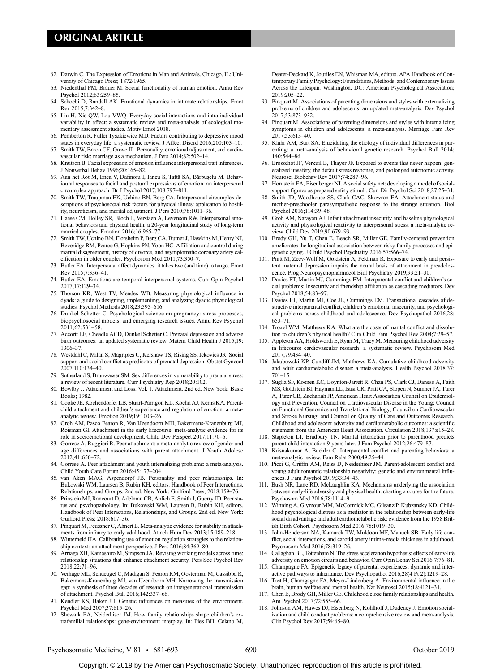# ORIGINAL ARTICLE

- 62. Darwin C. The Expression of Emotions in Man and Animals. Chicago, IL: University of Chicago Press; 1872/1965.
- 63. Niedenthal PM, Brauer M. Social functionality of human emotion. Annu Rev Psychol 2012;63:259–85.
- 64. Schoebi D, Randall AK. Emotional dynamics in intimate relationships. Emot Rev 2015;7:342–8.
- 65. Liu H, Xie QW, Lou VWQ. Everyday social interactions and intra-individual variability in affect: a systematic review and meta-analysis of ecological momentary assessment studies. Motiv Emot 2018.
- 66. Pemberton R, Fuller Tyszkiewicz MD. Factors contributing to depressive mood states in everyday life: a systematic review. J Affect Disord 2016;200:103–10.
- 67. Smith TW, Baron CE, Grove JL. Personality, emotional adjustment, and cardiovascular risk: marriage as a mechanism. J Pers 2014;82:502–14.
- 68. Knutson B. Facial expression of emotion influence interpersonal trait inferences. J Nonverbal Behav 1996;20:165–82.
- 69. Aan het Rot M, Enea V, Dafinoiu I, Iancu S, Taftă SA, Bărbuşelu M. Behavioural responses to facial and postural expressions of emotion: an interpersonal circumplex approach. Br J Psychol 2017;108:797–811.
- 70. Smith TW, Traupman EK, Uchino BN, Berg CA. Interpersonal circumplex descriptions of psychosocial risk factors for physical illness: application to hostility, neuroticism, and marital adjustment. J Pers 2010;78:1011–36.
- 71. Haase CM, Holley SR, Bloch L, Verstaen A, Levenson RW. Interpersonal emotional behaviors and physical health: a 20-year longitudinal study of long-term married couples. Emotion 2016;16:965–77.
- 72. Smith TW, Uchino BN, Florsheim P, Berg CA, Butner J, Hawkins M, Henry NJ, Beveridge RM, Pearce G, Hopkins PN, Yoon HC. Affiliation and control during marital disagreement, history of divorce, and asymptomatic coronary artery calcification in older couples. Psychosom Med 2011;73:350–7.
- 73. Butler EA. Interpersonal affect dynamics: it takes two (and time) to tango. Emot Rev 2015;7:336–41.
- 74. Butler EA. Emotions are temporal interpersonal systems. Curr Opin Psychol 2017;17:129–34.
- 75. Thorson KR, West TV, Mendes WB. Measuring physiological influence in dyads: a guide to designing, implementing, and analyzing dyadic physiological studies. Psychol Methods 2018;23:595–616.
- 76. Dunkel Schetter C. Psychological science on pregnancy: stress processes, biopsychosocial models, and emerging research issues. Annu Rev Psychol 2011;62:531–58.
- 77. Accortt EE, Cheadle ACD, Dunkel Schetter C. Prenatal depression and adverse birth outcomes: an updated systematic review. Matern Child Health J 2015;19: 1306–37.
- 78. Westdahl C, Milan S, Magriples U, Kershaw TS, Rising SS, Ickovics JR. Social support and social conflict as predicotrs of prenatal depression. Obstet Gynecol 2007;110:134–40.
- 79. Sutherland S, Brunwasser SM. Sex differences in vulnerability to prenatal stress: a review of recent literature. Curr Psychiatry Rep 2018;20:102.
- 80. Bowlby J. Attachment and Loss. Vol. 1. Attachment. 2nd ed. New York: Basic Books; 1982.
- 81. Cooke JE, Kochendorfer LB, Stuart-Parrigon KL, Koehn AJ, Kerns KA. Parentchild attachment and children's experience and regulation of emotion: a metaanalytic review. Emotion 2019;19:1003–26.
- 82. Groh AM, Pasco Fearon R, Van IJzendoorn MH, Bakermans-Kranenburg MJ, Roisman GI. Attachment in the early lifecourse: meta-analytic evidence for its role in socioemotional development. Child Dev Perspect 2017;11:70–6.
- 83. Gorrese A, Ruggieri R. Peer attachment: a meta-analytic review of gender and age differences and associations with parent attachment. J Youth Adolesc 2012;41:650–72.
- 84. Gorrese A. Peer attachment and youth internalizing problems: a meta-analysis. Child Youth Care Forum 2016;45:177–204.
- 85. van Aken MAG, Aspendorpf JB. Personality and peer relationships. In: Bukowski WM, Laursen B, Rubin KH, editors. Handbook of Peer Interactions, Relationships, and Groups. 2nd ed. New York: Guilford Press; 2018:159–76.
- 86. Prinstein MJ, Rancourt D, Adelman CB, Ahlich E, Smith J, Guerry JD. Peer status and psychopathology. In: Bukowski WM, Laursen B, Rubin KH, editors. Handbook of Peer Interactions, Relationships, and Groups. 2nd ed. New York: Guilford Press; 2018:617–36.
- 87. Pinquart M, Feussner C, Ahnert L. Meta-analytic evidence for stability in attachments from infancy to early adulthood. Attach Hum Dev 2013;15:189–218.
- 88. Winterheld HA. Calibrating use of emotion regulation strategies to the relationship context: an attachment perspective. J Pers 2016;84:369–80.
- 89. Arriaga XB, Kamashiro M, Simpson JA. Revising working models across time: relationship situations that enhance attachment security. Pers Soc Psychol Rev 2018;22:71–96.
- 90. Verhage ML, Schueugel C, Madigan S, Fearon RM, Oosterman M, Cassibba R, Bakermans-Kranenburg MJ, van IJzendoorn MH. Narrowing the transmission gap: a synthesis of three decades of research on intergenerational transmission of attachment. Psychol Bull 2016;142:337–66.
- 91. Kendler KS, Baker JH. Genetic influences on measures of the environment. Psychol Med 2007;37:615–26.
- 92. Shewark EA, Neiderhiser JM. How family relationships shape children's extrafamilial relationshps: gene-environment interplay. In: Fies BH, Celano M,

Deater-Deckard K, Jouriles EN, Whisman MA, editors. APA Handbook of Contemporary Family Psychology: Foundations, Methods, and Contemporary Issues Across the Lifespan. Washington, DC: American Psychological Association; 2019:205–22.

- 93. Pinquart M. Associations of parenting dimensions and styles with externalizing problems of children and adolescents: an updated meta-analysis. Dev Psychol 2017;53:873–932.
- 94. Pinquart M. Associations of parenting dimensions and styles with internalizing symptoms in children and adolescents: a meta-analysis. Marriage Fam Rev 2017;53:613–40.
- 95. Klahr AM, Burt SA. Elucidating the etiology of individual differences in parenting: a meta-analysis of behavioral genetic research. Psychol Bull 2014; 140:544–86.
- 96. Brosschot JF, Verkuil B, Thayer JF. Exposed to events that never happen: generalized unsafety, the default stress response, and prolonged autonomic activity. Neurosci Biobehav Rev 2017;74:287–96.
- 97. Hornstein EA, Eisenberger NI. A social safety net: developing a model of socialsupport figures as prepared safety stimuli. Curr Dir Psychol Sci 2018;27:25–31.
- 98. Smith JD, Woodhouse SS, Clark CAC, Skowron EA. Attachment status and mother-preschooler parasympathetic response to the strange situation. Biol Psychol 2016;114:39–48.
- 99. Groh AM, Narayan AJ. Infant attachment insecurity and baseline physiological activity and physiological reactivity to interpersonal stress: a meta-analytic review. Child Dev 2019;90:679–93.
- 100. Brody GH, Yu T, Chen E, Beach SR, Miller GE. Family-centered prevention ameliorates the longitudinal association between risky family processes and epigenetic aging. J Child Psychol Psychiatry 2016;57:566–74.
- 101. Pratt M, Zeev-Wolf M, Goldstein A, Feldman R. Exposure to early and persistent maternal depression impairs the neural basis of attachment in preadolescence. Prog Neuropsychopharmacol Biol Psychiatry 2019;93:21–30.
- 102. Davies PT, Martin MJ, Cummings EM. Interparental conflict and children's social problems: Insecurity and friendship affiliation as cascading mediators. Dev Psychol 2018;54:83–97.
- 103. Davies PT, Martin MJ, Coe JL, Cummings EM. Transactional cascades of destructive interparental conflict, children's emotional insecurity, and psychological problems across childhood and adolescence. Dev Psychopathol 2016;28: 653–71.
- 104. Troxel WM, Matthews KA. What are the costs of marital conflict and dissolution to children's physical health? Clin Child Fam Psychol Rev 2004;7:29–57.
- 105. Appleton AA, Holdsworth E, Ryan M, Tracy M. Measuring childhood adversity in lifecourse cardiovascular research: a systematic review. Psychosom Med 2017;79:434–40.
- 106. Jakubowski KP, Cundiff JM, Matthews KA. Cumulative childhood adversity and adult cardiometabolic disease: a meta-analysis. Health Psychol 2018;37: 701–15.
- 107. Suglia SF, Koenen KC, Boynton-Jarrett R, Chan PS, Clark CJ, Danese A, Faith MS, Goldstein BI, Hayman LL, Isasi CR, Pratt CA, Slopen N, Sumner JA, Turer A, Turer CB, Zachariah JP, American Heart Association Council on Epidemiology and Prevention; Council on Cardiovascular Disease in the Young; Council on Functional Genomics and Translational Biology; Council on Cardiovascular and Stroke Nursing; and Council on Quality of Care and Outcomes Research. Childhood and adolescent adversity and cardiometabolic outcomes: a scientific statement from the American Heart Association. Circulation 2018;137:e15-28.
- 108. Stapleton LT, Bradbury TN. Marital interaction prior to parenthood predicts parent-child interaction 9 years later. J Fam Psychol 2012;26:479–87.
- 109. Krisnakumar A, Buehler C. Interparental conflict and parenting behaviors: a meta-analytic review. Fam Relat 2000;49:25–44.
- 110. Picci G, Griffin AM, Reiss D, Neiderhiser JM. Parent-adolescent conflict and young adult romantic relationship negativity: genetic and environmental influences. J Fam Psychol 2019;33:34–43.
- 111. Bush NR, Lane RD, McLaughlin KA. Mechanisms underlying the association between early-life adversity and physical health: charting a course for the future. Psychosom Med 2016;78:1114–9.
- 112. Winning A, Glymour MM, McCormick MC, Gilsanz P, Kubzansky KD. Childhood psychological distress as a mediator in the relationship between early-life social disadvantage and adult cardiometabolic risk: evidence from the 1958 British Birth Cohort. Psychosom Med 2016;78:1019–30.
- 113. John-Henderson NA, Kamarck TW, Muldoon MF, Manuck SB. Early life conflict, social interactions, and carotid artery intima-media thickness in adulthood. Psychosom Med 2016;78:319–26.
- 114. Callaghan BL, Tottenham N. The stress acceleration hypothesis: effects of early-life adversity on emotion circuits and behavior. Curr Opin Behav Sci 2016;7:76–81.
- 115. Champagne FA. Epigenetic legacy of parental experiences: dynamic and interactive pathways to inheritance. Dev Psychopathol 2016;28(4 Pt 2):1219–28.
- 116. Tost H, Chamgagne FA, Meyer-Lindenberg A. Environmental influence in the brain, human welfare and mental health. Nat Neurosci 2015;18:4121–31.
- 117. Chen E, Brody GH, Miller GE. Childhood close family relationships and health. Am Psychol 2017;72:555–66.
- 118. Johnson AM, Hawes DJ, Eisenberg N, Kohlhoff J, Dudeney J. Emotion socialization and child conduct problems: a comprehensive review and meta-analysis. Clin Psychol Rev 2017;54:65–80.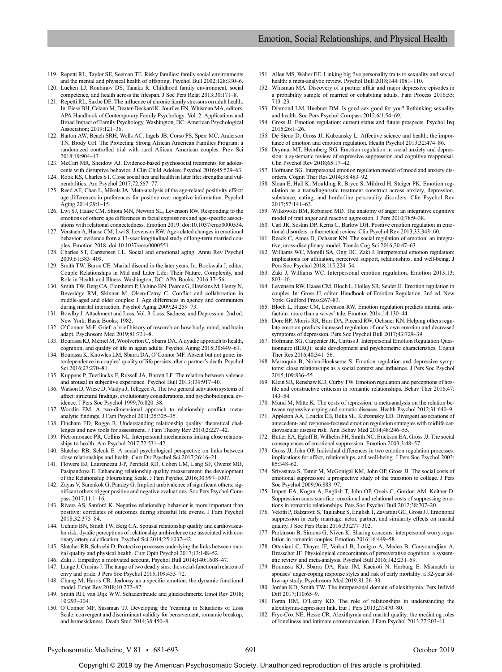- 119. Repetti RL, Taylor SE, Seeman TE. Risky families: family social environments and the mental and physical health of offspring. Psychol Bull 2002;128:330–6.
- 120. Lueken LJ, Roubinov DS, Tanaka R. Childhood family environment, social competence, and health across the lifespan. J Soc Pers Relat 2013;30:171–8.
- 121. Repetti RL, Saxbe DE. The influence of chronic family stressors on adult health. In: Fiese BH, Celano M, Deater-Deckard K, Jouriles EN, Whisman MA, editors. APA Handbook of Contemporary Family Psychology: Vol. 2. Applications and Broad Impact of Family Psychology. Washington, DC: American Psychological Association; 2019:121–36.
- 122. Barton AW, Beach SRH, Wells AC, Ingels JB, Corso PS, Sperr MC, Anderson TN, Brody GH. The Protecting Strong African American Families Program: a randomized controlled trial with rural African American couples. Prev Sci 2018;19:904–13.
- 123. McCart MR, Sheidow AJ. Evidence-based psychosocial treatments for adolescents with disruptive behavior. J Clin Child Adolesc Psychol 2016;45:529–63.
- 124. Rook KS, Charles ST. Close social ties and health in later life: strengths and vulnerabilities. Am Psychol 2017;72:567–77.
- 125. Reed AE, Chan L, Mikels JA. Meta-analysis of the age-related positivity effect: age differences in preferences for positive over negative information. Psychol Aging 2014;29:1–15.
- 126. Lwi SJ, Haase CM, Shiota MN, Newton SL, Levenson RW. Responding to the emotions of others: age differences in facial expressions and age-specific associations with relational connectedness. Emotion 2019. doi:10.1037/emo0000534.
- 127. Verstaen A, Haase CM, Lwi S, Levenson RW. Age-related changes in emotional behavior: evidence from a 13-year longitudinal study of long-term married couples. Emotion 2018. doi:10.1037/emo0000551.
- 128. Charles ST, Carstensen LL. Social and emotional aging. Annu Rev Psychol 2009;61:383–409.
- 129. Smith TW, Baron CE. Marital discord in the later years. In: Bookwala J, editor. Couple Relationships in Mid and Later Life: Their Nature, Complexity, and Role in Health and Illness. Washington, DC: APA Books; 2016:37–56.
- 130. Smith TW, Berg CA, Florsheim P, Uchino BN, Pearce G, Hawkins M, Henry N, Beveridge RM, Skinner M, Olsen-Cerny C. Conflict and collaboration in middle-aged and older couples: I. Age differences in agency and communion during marital interaction. Psychol Aging 2009;24:259–73.
- 131. Bowlby J. Attachment and Loss. Vol. 3. Loss, Sadness, and Depression. 2nd ed. New York: Basic Books; 1982.
- 132. O'Connor M-F. Grief: a brief history of research on how body, mind, and brain adapt. Psychosom Med 2019;81:731–8.
- 133. Bourassa KJ, Memel M, Woolverton C, Sbarra DA. A dyadic approach to health, cognition, and quality of life in again adults. Psychol Aging 2015;30:449–61.
- 134. Bourassa K, Knowles LM, Sbarra DA, O'Connor MF. Absent but not gone: interdependence in couples' quality of life persists after a partner's death. Psychol Sci 2016;27:270–81.
- 135. Kuppens P, Tuerlinckx F, Russell JA, Barrett LF. The relation between valence and arousal in subjective experience. Psychol Bull 2013;139:917–40.
- 136. Watson D, Wiese D, Vaidya J, Tellegen A. The two general activation systems of affect: structural findings, evolutionary considerations, and psychobiological evidence. J Pers Soc Psychol 1999;76:820–38.
- 137. Woodin EM. A two-dimensional approach to relationship conflict: metaanalytic findings. J Fam Psychol 2011;25:325–35.
- 138. Fincham FD, Rogge R. Understanding relationship quality: theoretical challenges and new tools for assessment. J Fam Theory Rev 2010;2:227–42.
- 139. Pietromonaco PR, Collins NL. Interpersonal mechanisms linking close relationships to health. Am Psychol 2017;72:531–42.
- 140. Slatcher RB, Selcuk E. A social psychological perspective on links between close relationships and health. Curr Dir Psychol Sci 2017;26:16–21.
- 141. Flowers BJ, Laurenceau J-P, Penfield RD, Cohen LM, Lang SF, Owenz MB, Pasipandoya E. Enhancing relationship quality measurement: the development of the Relationship Flourishing Scale. J Fam Psychol 2016;30:997–1007.
- 142. Zayas V, Surenkok G, Pandey G. Implicit ambivalence of significant others: significant others trigger positive and negative evaluations. Soc Pers Psychol Compass 2017;11:1–16.
- 143. Rivers AS, Sanford K. Negative relationship behavior is more important than positive: correlates of outcomes during stressful life events. J Fam Psychol 2018;32:375–84.
- 144. Uchino BN, Smith TW, Berg CA. Spousal relationship quality and cardiovascular risk: dyadic perceptions of relationship ambivalence are associated with coronary artery calcification. Psychol Sci 2014;25:1037–42.
- 145. Slatcher RB, Schoebi D. Protective processes underlying the links between marital quality and physical health. Curr Opin Psychol 2017;13:148–52.
- 146. Zaki J. Empathy: a motivated account. Psychol Bull 2014;140:1608–47. 147. Lange J, Crusius J. The tango of two deadly sins: the social-functional relation of
- envy and pride. J Pers Soc Psychol 2015;109:453–72. 148. Chung M, Harris CR. Jealousy as a specific emotion: the dynamic functional
- model. Emot Rev 2018;10:272–87. 149. Smith RH, van Dijk WW. Schadenfreude and gluckschmertz. Emot Rev 2018; 10:293–304.
- 150. O'Connor MF, Sussman TJ. Developing the Yearning in Situations of Loss Scale: convergent and discriminant validity for bereavement, romantic breakup, and homesickness. Death Stud 2014;38:450–8.
- 151. Allen MS, Walter EE. Linking big five personality traits to sexuality and sexual health: a meta-analytic review. Psychol Bull 2018;144:1081–110.
- 152. Whisman MA. Discovery of a partner affair and major depressive episodes in a probability sample of married or cohabiting adults. Fam Process 2016;55: 713–23.
- 153. Diamond LM, Huebner DM. Is good sex good for you? Rethinking sexuality and health. Soc Pers Psychol Compass 2012;6/1:54–69.
- 154. Gross JJ. Emotion regulation: current status and future prospects. Psychol Inq 2015;26:1–26.
- 155. De Steno D, Gross JJ, Kubzansky L. Affective science and health: the importance of emotion and emotion regulation. Health Psychol 2013;32:474–86.
- 156. Dryman MT, Heimberg RG. Emotion regulation in social anxiety and depression: a systematic review of expressive suppression and cognitive reappraisal. Clin Psychol Rev 2018;65:17–42.
- 157. Hofmann SG. Interpersonal emotion regulation model of mood and anxiety disorders. Cognit Ther Res 2014;38:483–92.
- 158. Sloan E, Hall K, Moulding R, Bryce S, Mildred H, Staiger PK. Emotion regulation as a transdiagnostic treatment construct across anxiety, depression, substance, eating, and borderline personality disorders. Clin Psychol Rev 2017;57:141–63.
- 159. Wilkowski BM, Robinson MD. The anatomy of anger: an integrative cognitive model of trait anger and reactive aggression. J Pers 2010;78:9–38.
- 160. Carl JR, Soskin DP, Kerns C, Barlow DH. Positive emotion regulation in emotional disorders: a theoretical review. Clin Psychol Rev 2013;33:343–60.
- 161. Reeck C, Ames D, Ochsner KN. The social regulation of emotion: an integrative, cross-disciplinary model. Trends Cog Sci 2016;20:47–63.
- 162. Williams WC, Morelli SA, Ong DC, Zaki J. Interpersonal emotion regulation: implications for affiliation, perceived support, relationships, and well-being. J Pers Soc Psychol 2018;115:224–54.
- 163. Zaki J, Williams WC. Interpersonal emotion regulation. Emotion 2013;13: 803–10.
- 164. Levenson RW, Haase CM, Bloch L, Holley SR, Seider JJ. Emotion regulation in couples. In: Gross JJ, editor. Handbook of Emotion Regulation. 2nd ed. New York: Guilford Press:267–83.
- 165. Bloch L, Hasse CM, Levenson RW. Emotion regulation predicts marital satisfaction: more than a wives' tale. Emotion 2014;14:130–44.
- 166. Dore BP, Morris RR, Burr DA, Piccard RW, Ochsner KN. Helping others regulate emotion predicts increased regulation of one's own emotion and decreased symptoms of depression. Pers Soc Psychol Bull 2017;43:729–39.
- 167. Hofmann SG, Carpenter JK, Curtiss J. Interpersonal Emotion Regulation Questionnaire (IERQ): scale development and psychometric characteristics. Cognit Ther Res 2016;40:341–56.
- 168. Marroquin B, Nolen-Hoeksema S. Emotion regulation and depressive symptoms: close relationships as a social context and influence. J Pers Soc Psychol 2015;109:836–55.
- 169. Klein SR, Renshaw KD, Curby TW. Emotion regulation and perceptions of hostile and constructive criticism in romantic relationships. Behav Ther 2016;47: 143–54.
- 170. Mund M, Mitte K. The costs of repression: a meta-analysis on the relation between repressive coping and somatic diseases. Health Psychol 2012;31:640–9.
- 171. Appleton AA, Loucks EB, Buka SL, Kubzansky LD. Divergent associations of antecedent- and response-focused emotion regulation strategies with midlife cardiovascular disease risk. Ann Behav Med 2014;48:246–55.
- 172. Butler EA, Egloff B, Wilhelm FH, Smith NC, Erickson EA, Gross JJ. The social consequences of emotional suppression. Emotion 2003;3:48–57.
- 173. Gross JJ, John OP. Individual differences in two emotion regulation processes: implications for affect, relationships, and well-being. J Pers Soc Psychol 2003; 85:348–62.
- 174. Srivastava S, Tamir M, McGonigal KM, John OP, Gross JJ. The social costs of emotional suppression: a prospective study of the transition to college. J Pers Soc Psychol 2009;96:883–97.
- 175. Impett EA, Kogan A, English T, John OP, Oveis C, Gordon AM, Keltner D. Suppression sours sacrifice: emotional and relational costs of suppressing emotions in romantic relationships. Pers Soc Psychol Bull 2012;38:707–20.
- 176. Velotti P, Balzarotti S, Tagliabue S, English T, Zavattini GC, Gross JJ. Emotional suppression in early marriage: actor, partner, and similarity effects on marital quality. J Soc Pers Relat 2016;33:277–302.
- 177. Parkinson B, Simons G, Niven K. Sharing concerns: interpersonal worry regulation in romantic couples. Emotion 2016;16:449–58.
- 178. Ottaviani C, Thayer JF, Verkuil B, Lonigro A, Medea B, Couyoumdjian A, Brosschot JF. Physiological concomitants of perseverative cognition: a systematic review and meta-analysis. Psychol Bull 2016;142:231–59.
- 179. Bourassa KJ, Sbarra DA, Ruiz JM, Kaciroti N, Harburg E. Mismatch in spouses' anger-coping response styles and risk of early mortality: a 32-year follow-up study. Psychosom Med 2019;81:26–33.
- 180. Jordan KD, Smith TW. The interpersonal domain of alexithymia. Pers Individ Diff 2017;110:65–9.
- 181. Foran HM, O'Leary KD. The role of relationships in understanding the alexithymia-depression link. Eur J Pers 2013;27:470–80.
- 182. Frye-Cox NE, Hesse CR. Alexithymia and marital quality: the mediating roles of loneliness and intimate communication. J Fam Psychol 2013;27:203–11.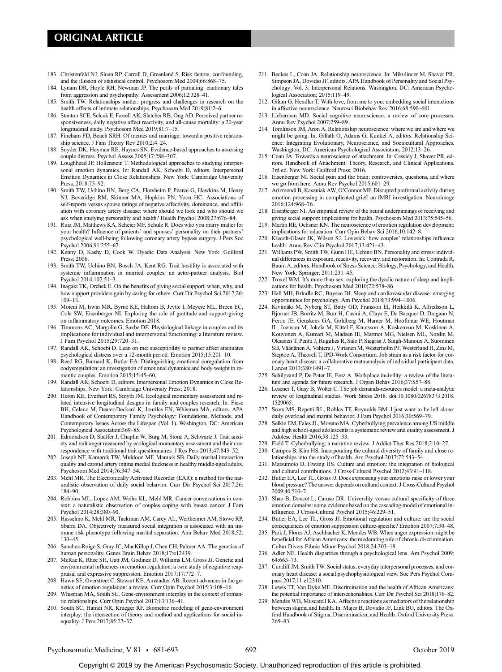- 183. Christenfeld NJ, Sloan RP, Carroll D, Greenland S. Risk factors, confounding, and the illusion of statistical control. Psychosom Med 2004;66:868–75.
- 184. Lynam DR, Hoyle RH, Newman JP. The perils of partialing: cautionary tales from aggression and psychopathy. Assessment 2006;12:328–41.
- 185. Smith TW. Relationships matter: progress and challenges in research on the health effects of intimate relationships. Psychosom Med 2019;81:2–6.
- 186. Stanton SCE, Selcuk E, Farrell AK, Slatcher RB, Ong AD. Perceived partner responsiveness, daily negative affect reactivity, and all-cause mortality: a 20-year longitudinal study. Psychosom Med 2019;81:7–15.
- 187. Fincham FD, Beach SRH. Of memes and marriage: toward a positive relationship science. J Fam Theory Rev 2010;2:4–24.
- 188. Snyder DK, Heyman RE, Haynes SN. Evidence-based approaches to assessing couple distress. Psychol Assess 2005;17:288–307.
- 189. Loughheed JP, Hollenstein T. Methodological approaches to studying interpersonal emotion dynamics. In: Randall AK, Schoebi D, editors. Interpersonal Emotion Dynamics in Close Relationships. New York: Cambridge University Press; 2018:75–92.
- 190. Smith TW, Uchino BN, Berg CA, Florsheim P, Pearce G, Hawkins M, Henry NJ, Beveridge RM, Skinner MA, Hopkins PN, Yoon HC. Associations of self-reports versus spouse ratings of negative affectivity, dominance, and affiliation with coronary artery disease: where should we look and who should we ask when studying personality and health? Health Psychol 2008;27:676–84.
- 191. Ruiz JM, Matthews KA, Scheier MF, Schulz R. Does who you marry matter for your health? Influence of patients' and spouses' personality on their partners' psychological well-being following coronary artery bypass surgery. J Pers Soc Psychol 2006;91:255–67.
- 192. Kenny D, Kashy D, Cook W. Dyadic Data Analysis. New York: Guilford Press; 2006.
- 193. Smith TW, Uchino BN, Bosch JA, Kent RG. Trait hostility is associated with systemic inflammation in married couples: an actor-partner analysis. Biol Psychol 2014;102:51–3.
- 194. Inagaki TK, Orehek E. On the benefits of giving social support: when, why, and how support providers gain by caring for others. Curr Dir Psychol Sci 2017;26: 109–13.
- 195. Moieni M, Irwin MR, Byrne KE, Haltom B, Jevtic I, Meyere ML, Breen EC, Cole SW, Eisenberger NI. Exploring the role of gratitude and support-giving on inflammatory outcomes. Emotion 2018.
- 196. Timmons AC, Margolin G, Saxbe DE. Physiological linkage in couples and its implications for individual and interpersonal functioning: a literature review. J Fam Psychol 2015;29:720–31.
- 197. Randall AK, Schoebi D. Lean on me: susceptibility to partner affect attenuates psychological distress over a 12-month period. Emotion 2015;15:201–10.
- 198. Reed RG, Barnard K, Butler EA. Distinguishing emotional coregulation from codysregulation: an investigation of emotional dynamics and body weight in romantic couples. Emotion 2015;15:45–60.
- 199. Randall AK, Schoebi D, editors. Interpersonal Emotion Dynamics in Close Relationships. New York: Cambridge University Press; 2018.
- 200. Heron KE, Everhart RS, Smyth JM. Ecological momentary assessment and related intensive longitudinal designs in family and couples research. In: Fiese BH, Celano M, Deater-Deckard K, Jouriles EN, Whisman MA, editors. APA Handbook of Contemporary Family Psychology: Foundations, Methods, and Contemporary Issues Across the Lifespan (Vol. 1). Washington, DC: American Psychological Association:369–85.
- 201. Edmondson D, Shaffer J, Chaplin W, Burg M, Stone A, Schwartz J. Trait anxiety and trait anger measured by ecological momentary assessment and their correspondence with traditional trait questionnaires. J Res Pers 2013;47:843–52.
- 202. Joseph NT, Kamarck TW, Muldoon MF, Manuck SB. Daily marital interaction quality and carotid artery intima medial thickness in healthy middle-aged adults. Psychosom Med 2014;76:347–54.
- 203. Mehl MR. The Electronically Activated Recorder (EAR): a method for the naturalistic observation of daily social behavior. Curr Dir Psychol Sci 2017;26: 184–90.
- 204. Robbins ML, Lopez AM, Weihs KL, Mehl MR. Cancer conversations in context: a naturalistic observation of couples coping with breast cancer. J Fam Psychol 2014;28:380–90.
- 205. Hasselmo K, Mehl MR, Tackman AM, Carey AL, Wertheimer AM, Stowe RP, Sbarra DA. Objectively measured social integration is associated with an immune risk phenotype following marital separation. Ann Behav Med 2018;52: 130–45.
- 206. Sanchez-Roige S, Gray JC, MacKillop J, Chen CH, Palmer AA. The genetics of human personality. Genes Brain Behav 2018;17:e12439.
- 207. McRae K, Rhee SH, Gatt JM, Godinez D, Williams LM, Gross JJ. Genetic and environmental influences on emotion regulation: a twin study of cognitive reappraisal and expressive suppression. Emotion 2017;17:772–7.
- 208. Hawn SE, Overstreet C, Stewart KE, Amstadter AB. Recent advances in the genetics of emotion regulation: a review. Curr Opin Psychol 2015;3:108–16.
- 209. Whisman MA, South SC. Gene-environment interplay in the context of romantic relationships. Curr Opin Psychol 2017;13:136–41.
- 210. South SC, Hamdi NR, Krueger RF. Biometric modeling of gene-environment interplay: the intersection of theory and method and applications for social inequality. J Pers 2017;85:22–37.
- 211. Beckes L, Coan JA. Relationship neuroscience. In: Mikulincer M, Shaver PR, Simpson JA, Dovidio JF, editors. APA Handbook of Personality and Social Psychology: Vol. 3: Interpersonal Relations. Washington, DC: American Psychological Association; 2015:119–49.
- 212. Gilam G, Hendler T. With love, from me to you: embedding social interactions in affective neuroscience. Neurosci Biobehav Rev 2016;68:590–601.
- 213. Lieberman MD. Social cognitive neuroscience: a review of core processes. Annu Rev Psychol 2007;259–89.
- 214. Tomlinson JM, Aron A. Relationship neuroscience: where we are and where we might be going. In: Gillath O, Adams G, Kunkel A, editors. Relationship Science: Integrating Evolutionary, Neuroscience, and Sociocultural Approaches. Washington, DC: American Psychological Association; 2012:13–26.
- 215. Coan JA. Towards a neuroscience of attachment. In: Cassidy J, Shaver PR, editors. Handbook of Attachment: Theory, Research, and Clinical Applications. 3rd ed. New York: Guilford Press; 2016.
- 216. Eisenberger NI. Social pain and the brain: controversies, questions, and where we go from here. Annu Rev Psychol 2015;601–29.
- 217. Arizmendi B, Kaszniak AW, O'Connor MF. Disrupted prefrontal activity during emotion processing in complicated grief: an fMRI investigation. Neuroimage 2016;124:968–76.
- 218. Eisenberger NI. An empirical review of the neural underpinnings of receiving and giving social support: implications for health. Psychosom Med 2013;75:545–56.
- 219. Martin RE, Ochsner KN. The neuroscience of emotion regulation development: implications for education. Curr Opin Behav Sci 2016;10:142–8.
- 220. Kiecolt-Glaser JK, Wilson SJ. Lovesick: how couples' relationships influence health. Annu Rev Clin Psychol 2017;13:421–43.
- 221. Williams PW, Smith TW, Gunn HE, Uchino BN. Personality and stress: individual differences in exposure, reactivity, recovery, and restoration. In: Contrada R, Baum A, editors. Handbook of Stress Science: Biology, Psychology, and Health. New York: Springer; 2011:231–45.
- 222. Troxel WM. It's more than sex: exploring the dyadic nature of sleep and implications for health. Psychosom Med 2010;72:578–86.
- 223. Hall MH, Brindle RC, Buysee DJ. Sleep and cardiovascular disease: emerging opportunities for psychology. Am Psychol 2018;73:994–1006.
- 224. Kivimäki M, Nyberg ST, Batty GD, Fransson EI, Heikkilä K, Alfredsson L, Bjorner JB, Borritz M, Burr H, Casini A, Clays E, De Bacquer D, Dragano N, Ferrie JE, Geuskens GA, Goldberg M, Hamer M, Hooftman WE, Houtman IL, Joensuu M, Jokela M, Kittel F, Knutsson A, Koskenvuo M, Koskinen A, Kouvonen A, Kumari M, Madsen IE, Marmot MG, Nielsen ML, Nordin M, Oksanen T, Pentti J, Rugulies R, Salo P, Siegrist J, Singh-Manoux A, Suominen SB, Väänänen A, Vahtera J, Virtanen M, Westerholm PJ, Westerlund H, Zins M, Steptoe A, Theorell T, IPD-Work Consortium. Job strain as a risk factor for coronary heart disease: a collaborative meta-analysis of individual participant data. Lancet 2013;380:1491–7.
- 225. Schilpzand P, De Pater IE, Erez A. Workplace incivility: a review of the literature and agenda for future research. J Organ Behav 2016;37:S57–88.
- 226. Lesener T, Gusy B, Wolter C. The job demands-resources model: a meta-analytic review of longitudinal studies. Work Stress 2018. doi:10.1080/02678373.2018. 1529065.
- 227. Sears MS, Repetti RL, Robles TF, Reynolds BM. I just want to be left alone: daily overload and marital behavior. J Fam Psychol 2016;30:569–79.
- 228. Selkie EM, Fales JL, Moreno MA. Cyberbullying prevalence among US middle and high school-aged adolescents: a systematic review and quality assessment. J Adolesc Health 2016;58:125–33.
- 229. Field T. Cyberbullying: a narrative review. J Addict Ther Res 2018;2:10–27.
- 230. Campos B, Kim HS. Incorporating the cultural diversity of family and close relationships into the study of health. Am Psychol 2017;72:543–54.
- 231. Matsumoto D, Hwang HS. Culture and emotion: the integration of biological and cultural contributions. J Cross-Cultural Psychol 2012;43:91–118.
- 232. Butler EA, Lee TL, Gross JJ. Does expressing your emotions raise or lower your blood pressure? The answer depends on cultural context. J Cross-Cultural Psychol 2009;40:510–7.
- 233. Shao B, Doucet L, Caruso DR. Universlity versus cultural specificity of three emotion domains: some evidence based on the cascading model of emotional intelligence. J Cross-Cultural Psychol 2015;46:229–51.
- 234. Butler EA, Lee TL, Gross JJ. Emotional regulation and culture: are the social consequences of emotion suppression culture-specific? Emotion 2007;7:30–48.
- 235. Park J, Flores AJ, Aschbacher K, Mendes WB. When anger expression might be beneficial for African Americans: the moderating role of chronic discrimination. Cultur Divers Ethnic Minor Psychol 2018;24:303–18.
- 236. Adler NE. Health disparities through a psychological lens. Am Psychol 2009; 64:663–73.
- 237. Cundiff JM, Smith TW. Social status, everyday interpersonal processes, and coronary heart disease: a social psychophysiological view. Soc Pers Psychol Compass 2017;11:e12310.
- 238. Lewis TT, Van Dyke ME. Discrimination and the health of African Americans: the potential importance of intersectionalities. Curr Dir Psychol Sci 2018;176–82.
- 239. Mendes WB, Muscatell KA. Affective reactions as mediators of the relationship between stigma and health. In: Major B, Dovidio JF, Link BG, editors. The Oxford Handbook of Stigma, Discrimination, and Health. Oxford University Press: 265–83.